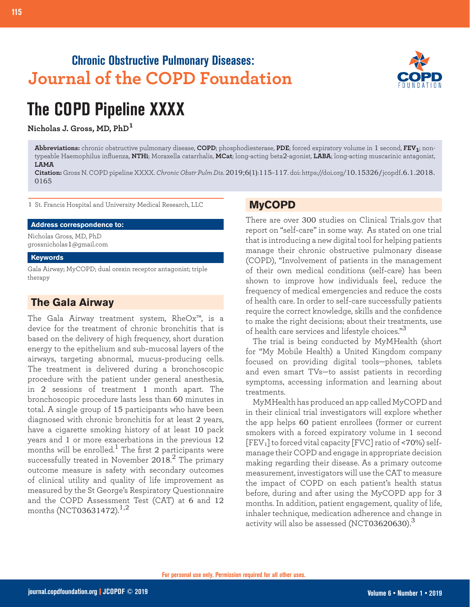## **Chronic Obstructive Pulmonary Diseases: Journal of the COPD Foundation**



# **The COPD Pipeline XXXX**

**Nicholas J. Gross, MD, PhD<sup>1</sup>**

**Abbreviations:** chronic obstructive pulmonary disease, **COPD**; phosphodiesterase, **PDE**; forced expiratory volume in 1 second, **FEV1**; nontypeable Haemophilus influenza, **NTHi**; Moraxella catarrhalis, **MCat**; long-acting beta2-agonist, **LABA**; long-acting muscarinic antagonist, **LAMA**

**Citation:** Gross N. COPD pipeline XXXX. *Chronic Obstr Pulm Dis*. 2019;6(1):115-117. doi: https://doi.org/10.15326/jcopdf.6.1.2018. 0165

1 St. Francis Hospital and University Medical Research, LLC

#### **Address correspondence to:**

Nicholas Gross, MD, PhD grossnicholas1@gmail.com

#### **Keywords**

Gala Airway; MyCOPD; dual orexin receptor antagonist; triple therapy

## **The Gala Airway**

The Gala Airway treatment system, RheOx™, is a device for the treatment of chronic bronchitis that is based on the delivery of high frequency, short duration energy to the epithelium and sub-mucosal layers of the airways, targeting abnormal, mucus-producing cells. The treatment is delivered during a bronchoscopic procedure with the patient under general anesthesia, in 2 sessions of treatment 1 month apart. The bronchoscopic procedure lasts less than 60 minutes in total. A single group of 15 participants who have been diagnosed with chronic bronchitis for at least 2 years, have a cigarette smoking history of at least 10 pack years and 1 or more exacerbations in the previous 12 months will be enrolled.<sup>1</sup> The first 2 participants were successfully treated in November 2018. $^2$  The primary outcome measure is safety with secondary outcomes of clinical utility and quality of life improvement as measured by the St George's Respiratory Questionnaire and the COPD Assessment Test (CAT) at 6 and 12 months (NCT03631472).<sup>1,2</sup>

#### **MyCOPD**

There are over 300 studies on Clinical Trials.gov that report on "self-care" in some way. As stated on one trial that is introducing a new digital tool for helping patients manage their chronic obstructive pulmonary disease (COPD), "Involvement of patients in the management of their own medical conditions (self-care) has been shown to improve how individuals feel, reduce the frequency of medical emergencies and reduce the costs of health care. In order to self-care successfully patients require the correct knowledge, skills and the confidence to make the right decisions; about their treatments, use of health care services and lifestyle choices." $^3$ 

The trial is being conducted by MyMHealth (short for "My Mobile Health) a United Kingdom company focused on providing digital tools—phones, tablets and even smart TVs—to assist patients in recording symptoms, accessing information and learning about treatments.

MyMHealth has produced an app called MyCOPD and in their clinical trial investigators will explore whether the app helps 60 patient enrollees (former or current smokers with a forced expiratory volume in 1 second [FEV1] to forced vital capacity [FVC] ratio of <70%) selfmanage their COPD and engage in appropriate decision making regarding their disease. As a primary outcome measurement, investigators will use the CAT to measure the impact of COPD on each patient's health status before, during and after using the MyCOPD app for 3 months. In addition, patient engagement, quality of life, inhaler technique, medication adherence and change in activity will also be assessed (NCT03620630). $^3$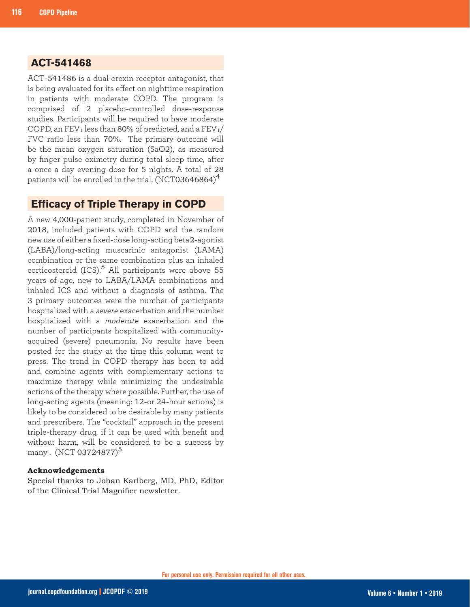## **ACT-541468**

ACT-541486 is a dual orexin receptor antagonist, that is being evaluated for its effect on nighttime respiration in patients with moderate COPD. The program is comprised of 2 placebo-controlled dose-response studies. Participants will be required to have moderate COPD, an  $FEV_1$  less than 80% of predicted, and a  $FEV_1/$ FVC ratio less than 70%. The primary outcome will be the mean oxygen saturation (SaO2), as measured by finger pulse oximetry during total sleep time, after a once a day evening dose for 5 nights. A total of 28 patients will be enrolled in the trial. (NCT03646864) $^4$ 

#### **Efficacy of Triple Therapy in COPD**

A new 4,000-patient study, completed in November of 2018, included patients with COPD and the random new use of either a fixed-dose long-acting beta2-agonist (LABA)/long-acting muscarinic antagonist (LAMA) combination or the same combination plus an inhaled corticosteroid  $(ICS)$ .<sup>5</sup> All participants were above 55 years of age, new to LABA/LAMA combinations and inhaled ICS and without a diagnosis of asthma. The 3 primary outcomes were the number of participants hospitalized with a *severe* exacerbation and the number hospitalized with a *moderate* exacerbation and the number of participants hospitalized with communityacquired (severe) pneumonia. No results have been posted for the study at the time this column went to press. The trend in COPD therapy has been to add and combine agents with complementary actions to maximize therapy while minimizing the undesirable actions of the therapy where possible. Further, the use of long-acting agents (meaning: 12-or 24-hour actions) is likely to be considered to be desirable by many patients and prescribers. The "cocktail" approach in the present triple-therapy drug, if it can be used with benefit and without harm, will be considered to be a success by many . (NCT 03724877)<sup>5</sup>

#### **Acknowledgements**

Special thanks to Johan Karlberg, MD, PhD, Editor of the Clinical Trial Magnifier newsletter.